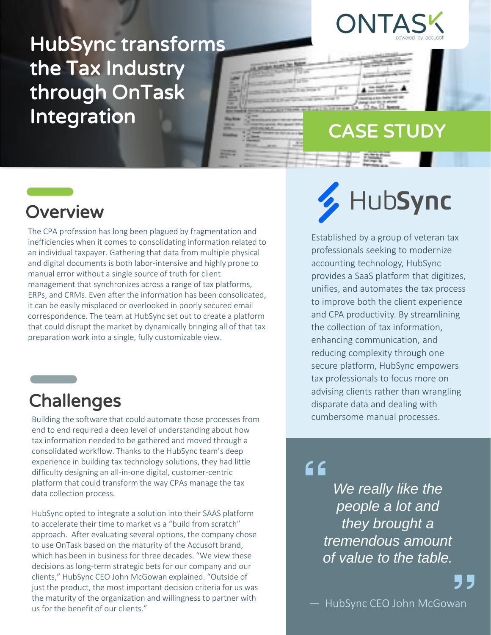## HubSync transforms the Tax Industry through OnTask Integration



### CASE STUDY

#### **Overview**

The CPA profession has long been plagued by fragmentation and inefficiencies when it comes to consolidating information related to an individual taxpayer. Gathering that data from multiple physical and digital documents is both labor-intensive and highly prone to manual error without a single source of truth for client management that synchronizes across a range of tax platforms, ERPs, and CRMs. Even after the information has been consolidated, it can be easily misplaced or overlooked in poorly secured email correspondence. The team at HubSync set out to create a platform that could disrupt the market by dynamically bringing all of that tax preparation work into a single, fully customizable view.



Building the software that could automate those processes from end to end required a deep level of understanding about how tax information needed to be gathered and moved through a consolidated workflow. Thanks to the HubSync team's deep experience in building tax technology solutions, they had little difficulty designing an all-in-one digital, customer-centric platform that could transform the way CPAs manage the tax data collection process.

HubSync opted to integrate a solution into their SAAS platform to accelerate their time to market vs a "build from scratch" approach. After evaluating several options, the company chose to use OnTask based on the maturity of the Accusoft brand, which has been in business for three decades. "We view these decisions as long-term strategic bets for our company and our clients," HubSync CEO John McGowan explained. "Outside of just the product, the most important decision criteria for us was the maturity of the organization and willingness to partner with us for the benefit of our clients."

# HubSync

Established by a group of veteran tax professionals seeking to modernize accounting technology, HubSync provides a SaaS platform that digitizes, unifies, and automates the tax process to improve both the client experience and CPA productivity. By streamlining the collection of tax information, enhancing communication, and reducing complexity through one secure platform, HubSync empowers tax professionals to focus more on advising clients rather than wrangling disparate data and dealing with cumbersome manual processes.

#### $66$

*We really like the people a lot and they brought a tremendous amount of value to the table.*

— HubSync CEO John McGowan